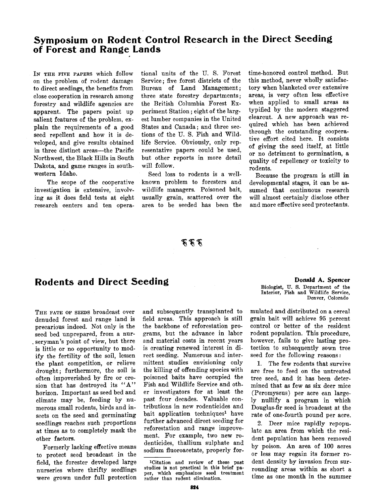# **Symposium on Rodent Control Research in the Direct Seeding of Forest and Range Lands**

IN THE FIVE PAPERS which follow **on the problem of rodent damage to direct seedings, the benefits from close cooperation in research among forestry and wildlife agencies are apparent. The papers point up salient features of the problem, explain the requirements of a good seed repellent and how it is developed, and give results obtained in three distinct areas--the Pacific Northwest, the Black Hills in South Dakota, and game ranges in southwestern Idaho.** 

**The scope of the cooperative investigation is extensive, involving as it does field tests at eight research centers and ten opera-** **tional units of the U.S. Forest Service; five forest districts of the Bureau of Land Management; three state forestry departments; the British Columbia Forest Experiment Station; eight of the largest lumber companies in the United States and Canada; and three sections of the U.S. Fish and Wildlife Service. Obviously, only representative papers could be used, but other reports in more detail will follow.** 

**Seed loss to rodents is a wellknown problem to foresters and wildlife managers. Poisoned bait, usually grain, scattered over the area to be seeded has been the**  **time-honored control method. But this method, never wholly satisfactory when blanketed over extensive areas, is very often less effective when applied to small areas as typified by the modern staggered clearcut. A new approach was required which has been achieved through the outstanding cooperative effort cited here. It consists of giving the seed itself, at little or no detriment to germination, a quality of repelleney or toxicity to rodents.** 

**Because the program is still in developmental stages, it can be assumed that continuous research will almost certainly disclose other and more effective seed protectants.** 

# そそそ

# **Rodents and Direct Seeding**

**THE FATE OF SEEDS broadcast over denuded forest and range land is precarious indeed. Not only is the seed bed unprepared, from a nurseryman's point of view, but there is little or no opportunity to modify the fertility of the soil, lessen the plant competition, or relieve drought; furthermore, the soil is often impoverished by fire or erosion that has destroyed its "A" horizon. Important as seed bed and climate may be, feeding by numerous small rodents, birds and insects on the seed and germinating seedlings reaches such proportions at times as to completely mask the other factors.** 

**Formerly lacking effective means to protect seed broadcast in the field, the forester developed large nurseries where thrifty seedlings were grown under full protection**  **and subsequently transplanted to field areas. This approach is still the backbone of reforestation programs, but the advance in labor •nd material costs in recent years is creating renewed interest in direct seeding. Numerous and intermittent studies envisioning only the killing of offending species with poisoned baits have occupied the Fish and Wildlife Service and other investigators for at least the past four decades. Valuable contributions in new rodenticides and**  bait application techniques<sup>1</sup> have **further advanced direct seeding for reforestation and range improvement. For example, two new rodenticides, thallium sulphate and sodium fiuoroacetate, properly for-** 

**Donald A. Spencer Biologist, TJ. 8. Department of the Interior, Fish and Wildlife Service, Denver, Colorado** 

**mulated and distributed on a cereal grain bait will achieve 95 percent control or better of the resident rodent population. This procedure, however, fails to give lasting protection to subsequently sown tree seed for the following reasons:** 

**1. The few rodents that survive are free to feed on the untreated tree seed, and it has been determined that as few as six deer mice (Peromyscus) per acre can largely nullify a program in which Douglas-fir seed is broadcast at the rate of one-fourth pound per acre.** 

**2. Deer mice rapidly repopulate an area from which the resident population has been removed by poison. An area of 100 acres or less may regain its former rodent density by invasion from surrounding areas within as short a time as one month in the summer** 

**<sup>•</sup>Citation and review of these past studies is not practical in this brief paper, which emphasizes seed treatment rather than rodent elimination.**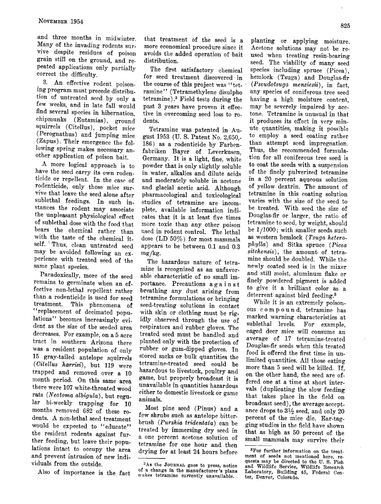**and three months in midwinter.**  Many of the invading rodents sur**vive despite residues of poison grain still on the ground, and repeated applications only partially correct the difficulty.** 

**3. An effective rodent poison**ing program must precede distribu**tion of untreated seed by only a few weeks, and in late fall would find several species in hibernation, chipmunks (Eutamias), ground squirrels (Citellus), pocket mice (Perognathus) and jumping mice (Zapus). Their emergence the following spring makes necessary another application of poison bait.** 

**A more logical approach is to have the seed carry its own rodenticide or repellent. In the case of**  rodenticide, only those mice sur**vive that leave the seed alone after sublethal feedings. In such instances the rodent may associate the. unpleasant physiological effect of sublethal dose with the food that bears the chemical rather than with the taste of the chemical itself. •'Thus, clean untreated seed may be avoided following an ex**perience with treated seed of the **same plant species.** 

**Paradoxically, more of the seed remains to germinate when an effective non-lethal repellent rather**  than a rodenticide is used for seed<br>treatment. This phenomena of This phenomena of **"replacement of decimated populations" becomes increasingly evident as the size of the seeded area decreases. For example, on a 5 acre tract in southern Arizona there was a resident population of only 15 gray-tailed antelope squirrels (Citellus harrisi), but 119 were trapped and removed over a 10 month period. On this same' area there were 107 white-throated wood rats (Neotoma albigula), but regular bi-weekly trapping for 10 months removed 682 of these rodents. A non-lethal seed treatment would be expected to "educate" the resident rodents against further feeding, but leave their populations intact to occupy the area and prevent intrusion of new individuals from the outside.** 

**Also of importance is the fact** 

**that treatment of the seed is a more economical procedure since it avoids the added operation of bait distribution.** 

**The first satisfactory chemical for seed treatment discovered in the course of this project was "tetramine" (Tetramethylene disulpho**  tetramine).<sup>2</sup> Field tests during the past 3 years have proven it effec**tive in overcoming seed loss to rodents.** 

**Tetramine was patented in August 1953 (U.S. Patent No. 2,650,- 186) as a rodenticide by Farbenfabriken Bayer of Leverkusen, Germany. It is a light, fine, white powder that is only slightly soluble in water, alkalies and dilute acids and moderately soluble in acetone and glacial acetic acid. Although**  pharmacological and toxicological **studies of tetramine are incomplete, available information indicates that it is at least five times more toxic than any other poison used in rodent control. The lethal dose (LD 50%) for most mammals appears to be between 0.1 and 0.3 mg/kg.** 

**The hazardous nature. of tetramine is recognized as an unfavorable characteristic of no small importance. Precautions a g a i n s t breathing any dust arising from tetramine formulations or bringing seed-treating solutions in contact with skin or clothing must be rigidly observed through the use of respirators and 'rubber gloves. The treated seed must be handled and planted only with the protection of rubber or gum-dipped gloves. In stored sacks or bulk quantities the tetramine-treated seed could be hazardous to livestock, poultry and game, but properly broadcast it is unavailable in quantities hazardous either to domestic livestock or game animals.** 

**Most pine seed (Pinus) and a few shrubs such as antelope bitter**brush (Purshia tridentata) can be **treated by immersing dry seed in a one percent acetone solution of tetramine for one hour and then drying for at least 24 hours before** 

**planting or applying moisture. Acetone solutions may not be reused when treating resin-bearing seed. The viability of many seed species including spruce (Picea), hemlock (Tsuga) and Douglas-fir**  (Pseudotsuga menziesii), in fact, **any species of coniferous tree seed having a high moisture content, may be severely impaired by acetone. Tetramine is unusual in that it produces its effect in very minute quantities, making it possible to employ a seed coating rather than attempt seed impregnation. Thus, the recommended formulation for all coniferous tree seed is to coat the seeds with a suspension of the finely pulverized tetramine in a 20 percent aqueous solution of. yellow dextrin. The amount of tetramine in this coating solution varies with the size of the seed to be treated. With seed the size of Douglas-fir or larger, the ratio of tetramine to seed, by weight, should be 1/1000; with smaller seeds such**  as western hemlock (Tsuga hetero**phylla) and Sitka spruce (Picea sitchensis), the amount. of tetramine should be doubled. While the newly coated seed is in the mixer and still moist, aluminum flake or finely powdered pigment is added to give it a brilliant color as a deterrent against bird feeding. s** 

**While it is an extremely poisonous compound, tetramlne has marked warning characteristics at**  sublethal levels. **caged deer mice will consume an average of 17 tetramine-treated Douglas-fir seeds when this treated food is offered the first time in unlimited quantities. All those eating more than 5 seed will be killed. If, on the other hand, the seed are offered one at a time at short intervals (duplicating the slow feeding that takes place in the field on broadcast seed), the average accept**ance drops to  $3\frac{1}{2}$  seed, and only 20 **percent of the mice die. Ear-tagging studies in the field have shown that as high as 50 percent of the small mammals may survive their** 

<sup>&</sup>lt;sup>2</sup>As the JOURNAL goes to press, notice **of a change in the manufacturer's plans n•akes tetramine currently unavailable.** 

<sup>&</sup>lt;sup>3</sup>For further information on the treat**ment of seeds not mentioned here, re**quests may be directed to the U.S. Fish and Wildlife Service, Wildlife Research **Laboratory, Building 45, Federal Center, Denver, Colorado.**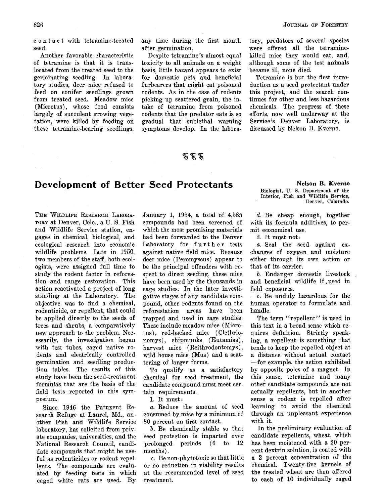**c o n t a c t with tetramine-treated seed.** 

**Another favorable characteristic of tetramine is that it is translocated from the treated seed to the germinating seedling. In laboratory studies, deer mice refused to feed on conifer seedlings grown from treated seed. Meadow mice (Microtus), whose food consists largely of succulent growing vegetation, were killed by feeding on these tetramine-bearing seedlings,**  **any time during the first month after germination.** 

**Despite tetramine's almost equal toxicity to all animals on a weight basis, little hazard appears to exist for domestic pets and beneficial furbearers that might eat poisoned rodents. As in the case of rodents picking up scattered grain, the intake of tetramine from poisoned rodents that the predator eats is so gradual that sublethal warning symptoms develop. In the labora-**

# ぞうて

# **Development of Better' Seed Protectants**

**THE WILDLIFE RESEARCH LABORA-TORY at Denver, Colo., a U.S. Fish and Wildlife Service station, engages in chemical, biological, and ecological research into economic wildlife problems. Late in 1950, two members of the staff, both ecologists, were assigned full time to study the rodent factor in reforestion and range restoration. This action reactivated a project of long standing at the Laboratory. The objective was to find a chemical, rodenticicle, or repellent, that could be applied directly to the seeds of trees and shrubs, a comparatively new approach to the problem. Necessarily, the investigation began with test tubes, caged native ro**dents and electrically controlled **germination and seedling production tables. The results of this study have been the seed-treatment formulas that are the basis of the field tests reported in this symposium.** 

**Since 1946 the Patuxent Research Refuge at Laurel, Md., another Fish and Wildlife Service laboratory, has solicited from private companies, universities, and the National Research Council, candidate compounds that might be use**ful as rodenticides or rodent repel**lents. The compounds are evaluated by feeding tests in which caged white rats are used. By** 

**January 1, 1954, a total of 4,585 compounds had been screened of which the most promising materials had been forwarded to the Denver Laboratory for further tests against native field mice. Because deer mice (Peromyscus) appear to be the principal offenders with respect to direct seeding, these mice have been used by the thousands in cage studies. In the later investigative stages of any candidate compound, other rodents found on the**  areas have **trapped and used in cage studies. These include meadow mice (Microtus), red-backed mice (Clethrionomys), chipmunks (Eutamias), harvest mice (Reithrodontomys), wild house mice (Mus) and a scattering of larger forms.** 

**To qualify as a satisfactory chemical for seed treatment, the candidate compound must meet certain requirements.** 

**1. It must:** 

**a. Reduce the amount of seed consumed by mice by a minimum of 80 percent on first contact.** 

**b. Be chemically stable so that seed protection is imparted over prolonged periods (6 to 12 months).** 

**c. Be non-phytotoxic so that little or no reduction in viability results at the recommended level of seed treatment.** 

**tory, predators of several species were offered all the tetraminekilled mice they would eat, and, although some of the test animals became ill, none died.** 

**Tetramine is but the first introduction as a seed protectant under this project, and the search continues for other and less hazardous chemicals. The progress of these efforts, now well underway at the Service's Denver Laboratory, is discussed by Nelson B. Kverno.** 

> **Nelson B. Kverno Biologist, U.S. Department of the Interior, Fish and Wildlife Service, Denver, Colorado.**

**d. Be cheap enough, together with its formula additives, to permit economical use.** 

**2. It must not:** 

**a. Seal the seed against exchanges of oxygen and moisture either through its own action or that of its carrier.** 

**b. Endanger domestic livestock and beneficial wildlife if,used in field exposures.** 

**c. Be unduly hazardous for the human operator to formulate and handle.** 

**The term "repellent" is used in this text in a broad sense which requires definition. Strictly speaking, a repellent is something that tends to keep the repelled object at a distance without actual contact --for example, the action exhibited by opposite poles of a magnet. In this sense, tetramine and many**  other candidate compounds are not **actually repellents, but in another sense a rodent is repelled after learning to avoid the chemical through an unpleasant experience with it.** 

**In the preliminary evaluation of candidate repellents, wheat, which has been moistened with a 20 percent dextrin solution, is coated with a 2 percent concentration of the chemical. Twenty-five kernels of the treated wheat are then offered to each of 10 individually caged**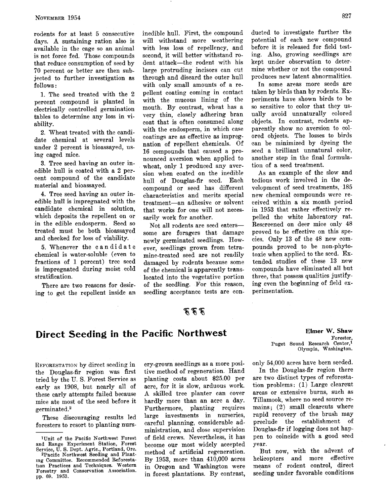**rodents for at least 5 consecutive days. A sustaining ration also is available in the cage so an animal is not force fed. Those compounds that reduce consumption of seed by 70 percent or better are then subjected to further investigation as follows:** 

**1. The seed treated with the 2 percent compound is planted in electrically controlled germination tables to determine any loss in viability.** 

**2. Wheat treated with the candidate chemical at several levels under 2 percent is bioassayed, using caged mice.** 

**3. Tree seed having an outer inedible hull is coated with a 2 percent compound of the candidate material and bioassayed.** 

**4. Tree seed having an outer inedible hull is impregnated with the candidate chemical in solution, which deposits the repellent on or in the edible endosperm. Seed so treated must be both bioassayed and checked for loss of viability.** 

**5. Whenever the candidate chemical is water-soluble (even to fractions of I percent) tree seed is impregnated during moist cold stratification.** 

**There are two reasons for desiring to get the repellent inside an**  **inedible hull. First, the compound will withstand more weathering with less loss of repellency, and second, it will better withstand rodent attack--the rodent with his large protruding incisors can cut through and discard the outer hull with only small amounts of a repellent coating coming in contact with the mucous lining of the mouth. By contrast, wheat has a very thin, closely adhering bran coat that is often consumed along with the endosperm, in which case coatings are as effective as impregnation of repellent chemicals. Of 16 compounds that caused a pronounced aversion when applied to wheat, only I produced any aversion when coated on the inedible**  hull of Douglas-fir seed. **compound or seed has different Characteristics and merits special treatment--an adhesive or so'vent that works for one will not necessarily work for another.** 

**Not all rodents are seed eaters- some are foragers that damage newly germinated seedlings. However, seedlings grown from tetramine-treated seed are not readily damaged by rodents because some of the chemical is apparently translocated into the vegetative portion of the seedling. For this reason, seedling acceptance tests are con-** **ducted to investigate further the potential of each new compound before it is released for field testing. Also, growing seedlings are kept under observation to determine whether or not the compound produces new latent abnormalities.** 

**In some areas more seeds are taken by birds than by rodents. Experiments have shown birds to be so sensitive to color that they usually avoid unnaturally colored objects. In contrast, rodents apparently show no aversion to colored objects. The losses to birds can be minimized by dyeing the seed a brilliant unnatural color, another step in the final formulation of a seed treatment.** 

**As an example of the slow and tedious work involved in the development of seed treatments, 185 new chemical compounds were received within a six month period in 1953 that rather effectively repelled the white laboratory rat. Rescreened on deer mice only 48 proved to be effective on this species. Only 13 of the 48 new compounds proved to be non-phytotoxic when applied to the seed. Extended• studies of these 13 new compounds have eliminated all but three, that possess qualities justifying even the beginning of field experimentation.** 

### ああな

# **Direct Seeding in the Pacific Northwest**

**REFORESTATION** by direct seeding in the Douglas-fir region was first **tried by the U.S. Forest Service as early as 1908, but nearly all of these early attempts failed because mice ate most of the seed before it germinated?** 

**These discouraging results led foresters to resort to planting nurs-** **ery-grown seedlings as a more positive method of regeneration. Hand planting costs about \$25.00 per acre, for it is slow, arduous work. A skilled tree planter can cover hardly more than an acre a day. Furthermore, planting requires large investments in nurseries, careful planning, considerable administration, and close supervision of field crews. Nevertheless, it has become our most widely accepted method of artificial regeneration. By 1953, more than 410,000 acres in Oregon and Washington were in forest plantations. By contrast,** 

**Elmer W. Shaw •Forester,**  Puget Sound Research Center, **Olympia, Washington.** 

**only 54,000 acres have been seeded.** 

**In the Douglas-fir region there are two distinct types of reforestation problems: (1) Large clearcut areas or extensive burns, such as Tillamook, where no seed source remains; (2) small clearcuts where rapid recovery of the brush may preclude** the **Douglas-fir if logging does not happen to coincide with a good seed year.** 

**But now, with the advent of helicopters and more effective means of rodent control, direct seeding under favorable conditions** 

**<sup>1</sup>Unit of the Pacific Northwest Torest and Range Experiment Station, Torest Service, U.S. Dept. Agric., Portland, Ore.** 

**<sup>2</sup>Pacific Northwest Seeding and Plantmg Committee. Recommended Reforestation Practices and Techniques. Western Forestry and Conservation Association. pp. 69. 1953.**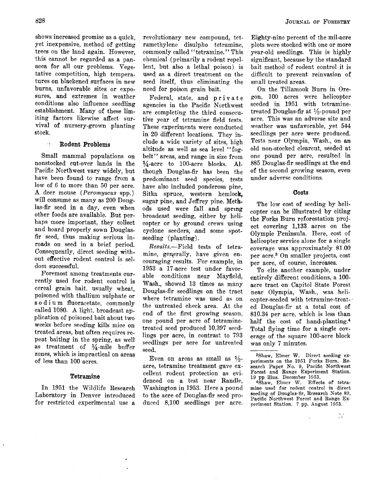**shows increased promise as a quick, yet inexpensive, method of getting trees on the land again. However, this cannot be regarded as a panacea for all our problems. Vegetative competition, high temperatures on blackened surfaces in new burns, unfavorable sites or exposures, and extremes in weather conditions also influence seedling establishment. Many of these limiting factors likewise affect survival of nursery-grown planting stock.** 

#### **• Rodent Problems**

**Small mammal populations on nonstocked cut-over lands in the Pacific Northwest vary widely, but have been found to range from a low of 6 to more than 50 per acre. A deer mouse (Peromyscus spp.) will consume as many as 200 Douglas-fir seed in a day, even when other foods are available. But perhaps more important, they collect and hoard properly sown Douglasfir seed, thus making serious inroads on seed in a brief period. Consequently, direct seeding without effective rodent control is seldom successful.** 

**Foremost among treatments currently used for rodent control is cereal grain bait, usually wheat, poisoned with thallium sulphate or s o d i u m fluoracetate, commonly called 1080. A light, broadcast application of poisoned bait about two weeks before seeding kills mice on treated areas, but often requires repeat baiting in the spring, as well**  as treatment of <sup>1</sup>/<sub>4</sub>-mile buffer **zones, which is impractical on areas of less than 100 acres.** 

#### **Tetramine**

**In 1951 the Wildlife Research Laboratory in Denver introduced for restricted experimental use a** 

**revolutionary new compound, tetramethylene disulpho tetramine, commonly called "tetramine." This chemical (primarily a rodent repellent, but also a lethal poison) is used as a direct treatment on the seed itself, thus eliminating the need for poison grain bait.** 

**Federal, state, and private agencies in the Pacific Northwest are completing the third consecutive year of tetramine field tesis. These experiments were conducted in 20 different locations. They include a wide variety of sites, high altitude as well as sea level "fogbelt" areas, and range in size from**   $\frac{1}{4}$ -acre to 100-acre blocks. Al**though Douglas-fir has been the predominant seed species, tests have also included ponderosa pine, Sitka spruce, western hemlock,**  sugar pine, and Jeffrey pine. Meth**ods used were fall and spring broadcast seeding, either by helicopter or by ground crews using**  cyclone seeders, and some spot**seeding (planting).** 

**Results.--Field tests of tetra**mine, generally, have given en**couraging results. For example, in 1953 a 17-acre test under favorable conditions near Mayfield, Wash., showed 13 times as many Douglas-fir seedlings on the tract where tetramine was used as on the untreated check area. At the end of the first growing season, one pound per acre of tetraminetreated seed produced 10,397 seedlings per acre, in contrast to 793 seedlings per acre for untreated seed.** 

**Even on areas as small as acre, tetramine treatment gave excellent rodent protection as evidenced on a test near Randie, Washington in 1953. Here a pound to the acre of Douglas-fir seed produced 8,100 seedlings per acre.** 

**Eighty-nine percent of the mil-acre plots were stocked with one or more year-old seedlings. This is highly significant, because by the standard bait method of rodent control it is difficult to prevent reinvasion of small treated areas.** 

**On the Tillamook Burn in Oregon, 100 acres were helicopter seeded in 1951 with tetraminetreated Douglas-fir at 1/•-pound per acre. This was an adverse site and weather was unfavorable, yet 544 seedlings per acre were produced. Tests near Olympia, Wash., on an old non-stocked clearcut, seeded at one pound per acre, resulted in 885 Douglas-fir seedlings at the end of the second growing season, even under adverse conditions.** 

#### **Costs**

**The low cost of seeding by helicopter can be illustrated by citing the Forks Burn reforestation project covering 1,133 acres on the Olympic Peninsula. Here, cost of helicopter service alone for a single coverage was approximately \$1.00**  per acre.<sup>3</sup> On smaller projects, cost **per acre, of course, increases.** 

**To cite another example, under**  entirely different conditions, a 100**acre tract on Capitol State Forest near Olympia, Wash., was helicopter-seeded with tetramine-treat- ed Douglas-fir at a total cost of \$10.34 per acre, which is less than half the cost of hand~planting. 4 Total flying time for a single coverage of the square 100-acre block was only 7 minutes.** 

 $\begin{smallmatrix} 70 & 7 \\ 4 & 6 \end{smallmatrix}$ 

**SShaw, Elmer W. Direct seeding experiments on the 1951 Forks Burn. Research Paper No. 9, Pacific Northwest Forest and Range Experiment Station. 19 pp illus. December 1953.** 

**<sup>4</sup>Shaw, Elmer W. Effects of tetramine used for rodent control in direct seeding of Douglas-fir, Research Note 89, Pacific Northwest Forest and Range Ex**periment Station. 7 pp. August 1953.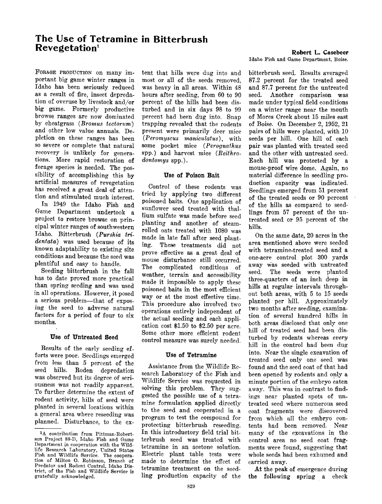# **The Use of Tetramine in Bitterbrush Revegetation Ioi Ioi Ioi Ioi Ioi Ioi Ioi Ioi Ioi Ioi Ioi Ioi Ioi Ioi Ioi Ioi I**

FORAGE PRODUCTION on many im**portant big game winter ranges in Idaho has been seriously reduced as a result of fire, insect depredation of overuse by livestock and/or big game. Formerly productive browse ranges are now dominated**  by cheatgrass (*Bromus tectorum*) **and other low value annuals. Depletion on these ranges has been so severe or complete that natural recovery is unlikely for generations. More rapid restoration of forage species is needed. The possibility of accomplishing this by artificial measures of revegetation has received a great deal of attention and stimulated much interest.** 

**In 1949 the Idaho Fish and Game Department undertook a**  project to restore browse on prin**cipal winter ranges of southwestern Idaho. Bitterbrush (Purshia tridentara) was used because of its known adaptability to existing site conditions and because the seed was plentiful and easy to handle.** 

**Seeding bitterbrush in 'the fall has to date proved more practical than spring seeding and was used**  in all operations. However, it posed a serious problem-that of expos**ing the seed to adverse natural factors for a period of four to six months.** 

#### **Use of Untreated Seed**

**Results of the early seeding efforts were poor. Seedlings emerged from less than 5 percent of the seed hills. Roden depredation was observed but its degree of seriousness was not readily apparent. To further determine the extent of rodent activity, hills of seed were planted in several locations within a general area where reseeding was planned. Disturbance, to the ex-** **tent that hills were dug into and most or all of the seeds removed, was heavy in all areas. Within 48 hours after seeding, from 60 to 90 percent of the hills had been disturbed and in six days 98 to 99 percent had been dug into. Snap trapping revealed that the rodents present were primarily deer mice (Peromyscus maniculatus), with some pocket mice (Perognathus spp.) and harvest mice (Reithro**dontomys spp.).

#### **Use of Poison Bait**

**Control of these rodents was tried by applying two different poisoned baits. One application of sunflower seed treated with thallium sulfate was made before seed planting and another of steamrolled oats treated with 1080 was made in late fall after seed planting. These treatments did not prove effective as a great deal of mouse disturbance still occurred. The complicated conditions of weather, terrain and accessibility made it impossible to apply these poisoned baits in the most efficient way or at the most effective time. This procedure also involved two operations entirely independent of the actual seeding and each application cost \$1.50 to \$2.50 per acre. Some other more efficient rodent control measure was surely needed.** 

### **Use of Tetramine**

Assistance from the Wildlife Re**search Laboratory of the Fish 'and Wildlife Service was requested in solving this problem. They suggested the possible use of a tetramine formulation applied directly to the seed and cooperated in a program to test the compound for protecting bitterbrush reseeding. In this introductory field trial bitterbrush seed was treated with tetramine in an acetone solution. Electric plant table tests were made to determine the effect of tetramine treatment on the seedling production capacity of the** 

**Idaho Fish and Game Department, Boise.** 

**bitterbrush seed. Results averaged 87.2 percent for the treated seed and 87.7 percent for the untreated**  Another comparison was **made under typical field conditions on a winter range near the mouth of Mores Creek about 15 miles east of Boise. On December 2, 1952, 21 pairs of hills were planted, with 10 seeds per hill. One hill of each pair was planted with treated seed and the other with untreated seed. Each hill was protected by a mouse-proof wire dome. Again, no material difference in seedling production capacity was indicated. Seedlings emerged from 51 percent of the treated seeds or 90 percent of the hills as compared to seedlings from 57 percent of the untreated seed or 95 percent of the hills.** 

**On the same date, 20 acres in the area mentioned above were seeded with tetramine-treated seed and a one-acre control plot 300 yards**  away was seeded with untreated<br>seed. The seeds were planted **seed. The seeds were planted three-quarters of an inch deep in hills at regular intervals throughout both areas, with 5 to 15 seeds planted per hill. Approximately two months after seeding, examination of several hundred hills in both areas disclosed that only one hill of treated seed had been disturbed by rodents whereas every hill in the control had been dug into. Near the single excavation of**  treated seed only one seed was **found and the seed coat of that had been opened by rodents and oply a minute portion of the embryo eaten away. This was in contrast to find**  ings near planted spots of un**treated seed where numerous seed coat fragments were discovered from which all the embryo contents had been removed. Near many of the excavations in the control area no seed coat fragments were found, suggesting that whole seeds had been exhumed and carried away.** 

**At the peak of emergence during the following spring a check** 

**<sup>1</sup>A contribution from Pittman-Robertson Project 88-D, Idaho Fish and Game Department in cooperation with the Wild**life Research Laboratory, United States **Fish and Wildlife Service. The cooperation of Milton O. Robinson, Branch of Predator and Rodent Control, Idaho District, of the Fish and Wildlife Service is gratefully acknowledged.**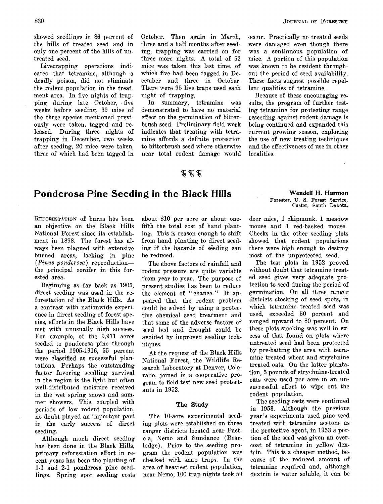**showed seedlings in 86 percent of the hills of treated seed anal in only one percent of the hills of untreated seed.** 

**Livetrapping operations indicated that tetramine, although a deadly poison, did not eliminate the rodent population in the treatment area. In five nights of trapping during late October,. five weeks before seeding, 39 mice of the three species mentioned previously were taken, tagged and released. During three nights of trapping in December, two weeks after seeding, 20 mice were taken, three of which had been tagged in** 

**October. Then again in March, three and a half months after seeding, trapping was carried on for three more nights. A total of 52 mice was taken this last time, of which five had been tagged in December and three in October. There were 95 live traps used each night of trapping.** 

**In summary, tetramine was demonstrated to have no material effect on the germination of bitterbrush seed. Preliminary field work indicates that treating with tetramine affords a definite protection to bitterbrush seed where otherwise near total rodent damage would** 

## あああ

# **Ponderosa Pine Seeding in the Black Hills**

**REFORESTATION of burns has been an objective on the Black Hills National Forest since its establishment in 1898. The forest has always been plagued with extensive burned areas, lacking in pine ( Pinus ponderosa) reproduction- the principal conifer in this forested area.** 

**Beginning as far back as 1905, direct seeding was used in the reforestation of the Black Hills. As a contrast with nationwide experience in direct seeding of forest species, efforts in the Black Hills have met with unusually high success. For example, of the 9,911 acres seeded to ponderosa pine through the period 1905-1916, 55 percent were classified as successful plantations. Perhaps the outstanding factor favoring seedling survival in the region is the light but often well-distributed moisture received in the wet spring snows and summer showers. This, coupled with periods of low rodent population, no doubt played an important part in the early success of direct seeding.** 

**Although much direct seeding has been done in the Black Hills, primary reforestation effort in recent years has been the planting of 1-1 and 2-1 ponderosa pine seedlings. Spring spot seeding costs**  **about \$10 per acre or about onefifth the total cost of hand planting. This is reason enough' to shift from hand planting to direct seed**ing if the hazards of seeding can **he reduced.** 

**The above factors of rainfall and rodent pressure are quite variable from year to year. The purpose of present studies has been to reduce the element of "chance." It appeared that the rodent problem could be solved by using a protective chemical seed treatment and that some of the adverse factors of seed bed and drought could be avoided by improved seeding techniques.** 

**At the request of the Black Hills National Forest, the Wildlife Research Laboratory at Denver, Colorado, joined in a cooperative program to field-test new seed protectants in 1952.** 

#### **The Study**

**The 10-acre experimental seeding plots were established on three ranger districts located near Pactola, Nemo and Sundance (Bearlodge). Prior to the seeding program the rodent population was checked with snap traps. In the area of heaviest rodent population, near Nemo, 100 trap nights took 59**  **occur. Practically no treated seeds were damaged even though there was a continuous population of mice. A portion of this population was known to be resident throughout the period of seed availability. These facts suggest possible repellent qualities of tetramine.** 

**Because of these encouraging results, the program of further testing tetramine for protecting range reseeding against rodent damage is being continued and expanded this current growing season, exploring the use of new treating techniques and the effectiveness of use in other localities.** 

### **Wendell H. Harmon**

**Forester, U.S. Forest Service, Custer, South Dakota.** 

**deer mice, I chipmunk, I meadow mouse and I red-backed mouse. Checks in the other seeding plots showed that rodent populations there were high enough to destroy most of the unprotected seed.** 

**The test plots in 1952 proved without doubt that tetramine treated seed gives very adequate protection to seed during the period of germination. On all three ranger districts stocking of seed spots, in which tetramine treated seed was used, exceeded 50 percent and ranged upward to 80 •percent. On these plots stocking was well in excess of that found on plots where untreated seed had been protected by pre-baiting the area with tetramine treated wheat and strychnine treated oats. On the latter plantation, 5 pounds of strychnine-treated oats were used per acre in an unsuccessful effort to wipe out the rodent population.** 

**The seeding tests were continued in 1953. Although the previous year's experiments used pine seed treated with tetramine acetone as the protective agent, in 1953 a portion of the seed was given an over**coat of tetramine in yellow dex**trin. This is a cheaper method, because of the reduced amount of tetramine required and, although dextrin is water soluble, it can be**